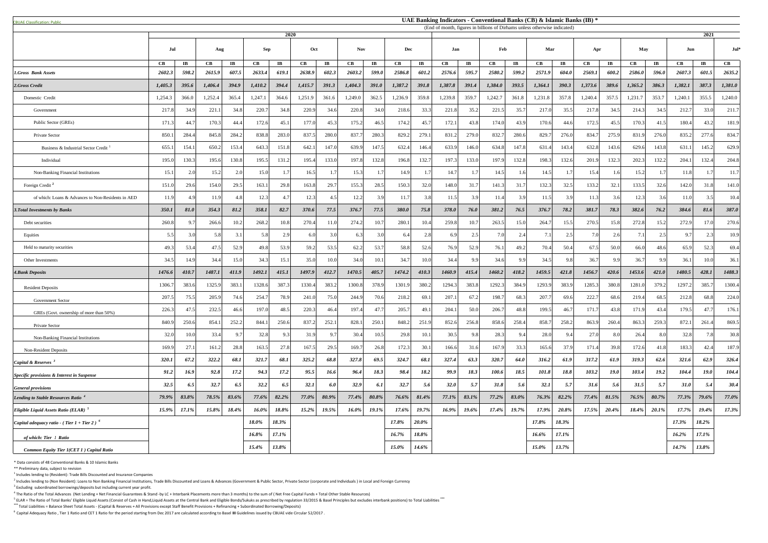<sup>5</sup> ELAR = The Ratio of Total Banks' Eligible Liquid Assets (Consist of Cash in Hand,Liquid Assets at the Central Bank and Eligible Bonds/Sukuks as prescribed by regulation 33/2015 & Basel Principles but excludes interbank **\*\*\*** Total Liabilities = Balance Sheet Total Assets - (Capital & Reserves + All Provisions except Staff Benefit Provisions + Refinancing + Subordinated Borrowing/Deposits)

| <b>CBUAF Classification: Public</b>                       |                      |                         |         |                       |         |                       |         |                        |            |                        |                      |                        | UAE Banking Indicators - Conventional Banks (CB) & Islamic Banks (IB) *   |                       |         |                        |         |                        |         |                       |         |           |                        |                       |                        |
|-----------------------------------------------------------|----------------------|-------------------------|---------|-----------------------|---------|-----------------------|---------|------------------------|------------|------------------------|----------------------|------------------------|---------------------------------------------------------------------------|-----------------------|---------|------------------------|---------|------------------------|---------|-----------------------|---------|-----------|------------------------|-----------------------|------------------------|
|                                                           |                      |                         |         |                       |         | 2020                  |         |                        |            |                        |                      |                        | (End of month, figures in billions of Dirhams unless otherwise indicated) |                       |         |                        |         |                        |         |                       |         |           |                        | 2021                  |                        |
|                                                           | Jul                  |                         | Aug     |                       | Sep     |                       | Oct     |                        | <b>Nov</b> |                        | Dec                  |                        | Jan                                                                       |                       | Feb     |                        | Mar     |                        | Apr     |                       | May     |           | Jun                    |                       | $Jul^*$                |
|                                                           | $\mathbf C\mathbf B$ | $\mathbf{I} \mathbf{B}$ | CB      | $\mathbf{I}$ <b>B</b> | CB      | $\mathbf{I}$ <b>B</b> | CB      | $\mathbf{I}\mathbf{B}$ | CB         | $\mathbf{I}\mathbf{B}$ | $\mathbf C\mathbf B$ | $\mathbf{I}\mathbf{B}$ | CB                                                                        | $\mathbf{I}$ <b>B</b> | CB      | $\mathbf{I}\mathbf{B}$ | CB      | $\mathbf{I}\mathbf{B}$ | CB      | $\mathbf{I}$ <b>B</b> | CB      | $\bf{IB}$ | $\mathbf{C}\mathbf{B}$ | $\mathbf{I}$ <b>B</b> | $\mathbf{C}\mathbf{B}$ |
| 1.Gross Bank Assets                                       | 2602.3               | 598.2                   | 2615.9  | 607.5                 | 2633.4  | 619.1                 | 2638.9  | 602.3                  | 2603.2     | 599.0                  | 2586.8               | 601.2                  | 2576.6                                                                    | 595.7                 | 2580.2  | 599.2                  | 2571.9  | 604.0                  | 2569.1  | 600.2                 | 2586.0  | 596.0     | 2607.3                 | 601.5                 | 2635.2                 |
| 2.Gross Credit                                            | 1,405.3              | 395.6                   | 1,406.4 | 394.9                 | 1,410.2 | 394.4                 | 1,415.7 | 391.3                  | 1,404.3    | 391.0                  | 1,387.2              | 391.8                  | 1,387.8                                                                   | 391.4                 | 1,384.0 | 393.5                  | 1,364.1 | 390.3                  | 1,373.6 | 389.6                 | 1,365.2 | 386.3     | 1,382.1                | 387.3                 | 1,381.0                |
| Domestic Credit                                           | 1,254.3              | 366.0                   | 1,252.4 | 365.4                 | 1,247.1 | 364.6                 | 1,251.9 | 361.6                  | 1,249.0    | 362.5                  | 1,236.9              | 359.8                  | 1,239.8                                                                   | 359.7                 | 1,242.7 | 361.8                  | 1,231.8 | 357.8                  | 1,240.4 | 357.5                 | 1,231.7 | 353.7     | 1,240.1                | 355.5                 | 1,240.0                |
| Government                                                | 217.8                | 34.9                    | 221.1   | 34.8                  | 220.7   | 34.8                  | 220.9   | 34.6                   | 220.8      | 34.0                   | 218.6                | 33.3                   | 221.8                                                                     | 35.2                  | 221.5   | 35.7                   | 217.0   | 35.5                   | 217.8   | 34.5                  | 214.3   | 34.5      | 212.7                  | 33.0                  | 211.                   |
| Public Sector (GREs)                                      | 171.3                | 44.7                    | 170.3   | 44.4                  | 172.6   | 45.1                  | 177.0   | 45.3                   | 175.2      | 46.5                   | 174.2                | 45.7                   | 172.1                                                                     | 43.8                  | 174.0   | 43.9                   | 170.6   | 44.6                   | 172.5   | 45.5                  | 170.3   | 41.5      | 180.4                  | 43.2                  | 181.9                  |
| Private Sector                                            | 850.                 | 284.4                   | 845.8   | 284.2                 | 838.8   | 283.0                 | 837.5   | 280.0                  | 837.7      | 280.3                  | 829.2                | 279.1                  | 831.2                                                                     | 279.0                 | 832.7   | 280.6                  | 829.7   | 276.0                  | 834.7   | 275.9                 | 831.9   | 276.0     | 835.2                  | 277.6                 | 834.7                  |
| Business & Industrial Sector Credit                       | 655.                 | 154.1                   | 650.2   | 153.4                 | 643.    | 151.8                 | 642.1   | 147.0                  | 639.9      | 147.5                  | 632.4                | 146.4                  | 633.9                                                                     | 146.0                 | 634.8   | 147.8                  | 631.4   | 143.4                  | 632.8   | 143.6                 | 629.6   | 143.8     | 631.1                  | 145.2                 | 629.9                  |
| Individual                                                | 195.0                | 130.3                   | 195.6   | 130.8                 | 195.5   | 131.2                 | 195.4   | 133.0                  | 197.8      | 132.8                  | 196.8                | 132.7                  | 197.3                                                                     | 133.0                 | 197.9   | 132.8                  | 198.3   | 132.6                  | 201.9   | 132.                  | 202.3   | 132.2     | 204.1                  | 132.4                 | 204.8                  |
| Non-Banking Financial Institutions                        | 15.1                 | 2.0                     | 15.2    | 2.0                   | 15.0    |                       | 16.5    |                        | 15.3       |                        | 14.9                 |                        | 14.7                                                                      |                       | 14.5    | 1.6                    | 14.5    |                        | 15.4    |                       | 15.2    | 1.7       | 11.8                   |                       | 11.7                   |
| Foreign Credit <sup>2</sup>                               | 151.0                | 29.6                    | 154.0   | 29.5                  | 163.1   | 29.8                  | 163.8   | 29.7                   | 155.3      | 28.5                   | 150.3                | 32.0                   | 148.0                                                                     | 31.7                  | 141.3   | 31.7                   | 132.3   | 32.5                   | 133.2   | 32.1                  | 133.5   | 32.6      | 142.0                  | 31.8                  | 141.0                  |
| of which: Loans & Advances to Non-Residents in AED        | 11.9                 | 4.9                     | 11.9    | 4.8                   | 12.3    |                       | 12.3    |                        | 12.2       | 3.9                    | 11.7                 | 3.8                    | 11.5                                                                      | 3.9                   | 11.4    | 3.9                    | 11.5    | 3.9                    | 11.3    | 3.6                   | 12.3    | 3.6       | 11.0                   | 3.5                   | 10.4                   |
| <b>3. Total Investments by Banks</b>                      | 350.1                | 81.0                    | 354.3   | 81.2                  | 358.1   | 82.7                  | 370.6   | 77.5                   | 376.7      | 77.5                   | 380.0                | 75.8                   | 378.0                                                                     | 76.0                  | 381.2   | 76.5                   | 376.7   | 78.2                   | 381.7   | 78.3                  | 382.6   | 76.2      | 384.6                  | 81.6                  | 387.0                  |
| Debt securities                                           | 260.8                | 9.7                     | 266.6   | 10.2                  | 268.2   | 10.8                  | 270.4   | 11.0                   | 274.2      | 10.7                   | 280.1                | 10.4                   | 259.8                                                                     | 10.7                  | 263.5   | 15.0                   | 264.    | 15.5                   | 270.5   | 15.8                  | 272.8   | 15.2      | 272.9                  | 17.0                  | 270.6                  |
| Equities                                                  | 5.5                  | 3.0                     | 5.8     | 3.1                   | 5.8     |                       | 6.0     |                        | 6.3        | 3.0                    | 6.                   | 2.8                    | 6.9                                                                       |                       |         |                        | 7.      |                        | 7.0     |                       |         | 2.5       | 9.                     |                       | 10.9                   |
| Held to maturity securities                               | 49.3                 | 53.                     | 47.5    | 52.9                  | 49.8    | 53.9                  | 59.2    | 53.                    | 62.2       | 53.7                   | 58.8                 | 52.6                   | 76.9                                                                      | 52.9                  | 76.1    | 49.2                   | 70.4    | 50.4                   | 67.5    | 50.0                  | 66.0    | 48.6      | 65.9                   | 52.3                  | 69.4                   |
| Other Investments                                         | 34.3                 | 14.9                    | 34.4    | 15.0                  | 34.3    | 15.1                  | 35.0    | 10.0                   | 34.0       | 10.1                   | 34.7                 | 10.0                   | 34.4                                                                      | QQ                    | 34.6    | 9.9                    | 34.5    | $Q$ $R$                | 36.7    |                       | 36.7    | 9.9       | 36.1                   | 10.0                  | 36.                    |
| <b>4. Bank Deposits</b>                                   | 1476.6               | 410.7                   | 1487.1  | 411.9                 | 1492.1  | 415.1                 | 1497.9  | 412.7                  | 1470.5     | 405.7                  | 1474.2               | 410.3                  | 1460.9                                                                    | 415.4                 | 1460.2  | 418.2                  | 1459.5  | 421.8                  | 1456.7  | 420.6                 | 1453.6  | 421.0     | 1480.5                 | 428.1                 | 1488.3                 |
| <b>Resident Deposits</b>                                  | 1306.                | 383.6                   | 1325.9  | 383.1                 | 1328.6  | 387.                  | 1330.4  | 383.                   | 1300.8     | 378.9                  | 1301.9               | 380.2                  | 1294.3                                                                    | 383.8                 | 1292.3  | 384.9                  | 1293.9  | 383.9                  | 1285.3  | 380.8                 | 1281.0  | 379.2     | 1297.2                 | 385.7                 | 1300.4                 |
| <b>Government Sector</b>                                  | 207.5                | 75.5                    | 205.9   | 74.6                  | 254.7   | 78.9                  | 241.0   | 75.0                   | 244.9      | 70.6                   | 218.2                | 69.1                   | 207.1                                                                     | 67.2                  | 198.7   | 68.3                   | 207.7   | 69.6                   | 222.7   | 68.6                  | 219.4   | 68.5      | 212.8                  | 68.8                  | 224.0                  |
| GREs (Govt. ownership of more than 50%)                   | 226.3                | 47.5                    | 232.5   | 46.6                  | 197.    | 48.5                  | 220.3   | 46.4                   | 197.4      | 47.7                   | 205.7                | 49.1                   | 204.1                                                                     | 50.0                  | 206.7   | 48.8                   | 199.5   | 46.7                   | 171.7   | 43.8                  | 171.9   | 43.4      | 179.5                  | 47.7                  | 176.                   |
| Private Sector                                            | 840.                 | 250.6                   | 854.1   | 252.2                 | 844.    | 250.6                 | 837.2   | 252.                   | 828.1      | 250.1                  | 848.2                | 251.9                  | 852.6                                                                     | 256.8                 | 858.6   | 258.4                  | 858.    | 258.2                  | 863.9   | 260.                  | 863.3   | 259.3     | 872.1                  | 261.4                 | 869.5                  |
| <b>Non-Banking Financial Institutions</b>                 | 32.0                 | 10.0                    | 33.4    | 9.7                   | 32.8    |                       | 31.9    | -9.                    | 30.4       | 10.5                   | 29.8                 | 10.1                   | 30.5                                                                      | 9.8                   | 28.3    | 9.4                    | 28.0    |                        | 27.0    |                       | 26.4    | 8.0       | 32.8                   |                       | 30.8                   |
| <b>Non-Resident Deposits</b>                              | 169.9                | 27.                     | 161.2   | 28.8                  | 163.5   | 27.8                  | 167.5   | 29.5                   | 169.7      | 26.8                   | 172.3                | 30.1                   | 166.6                                                                     | 31.6                  | 167.9   | 33.3                   | 165.6   | 37.9                   | 171.4   | 39.8                  | 172.6   | 41.8      | 183.3                  | 42.4                  | 187.9                  |
| <b>Capital &amp; Reserves</b>                             | 320.1                | 67.2                    | 322.2   | 68.1                  | 321.7   | 68.1                  | 325.2   | 68.8                   | 327.8      | 69.5                   | 324.7                | 68.1                   | 327.4                                                                     | 63.3                  | 320.7   | 64.0                   | 316.2   | 61.9                   | 317.2   | 61.9                  | 319.3   | 62.6      | 321.6                  | 62.9                  | 326.4                  |
| Specific provisions & Interest in Suspense                | 91.2                 | 16.9                    | 92.8    | 17.2                  | 94.3    | 17.2                  | 95.5    | 16.6                   | 96.4       | 18.3                   | 98.4                 | 18.2                   | 99.9                                                                      | 18.3                  | 100.6   | 18.5                   | 101.8   | 18.8                   | 103.2   | 19.0                  | 103.4   | 19.2      | 104.4                  | 19.0                  | 104.4                  |
| <b>General provisions</b>                                 | 32.5                 | 6.5                     | 32.7    | 6.5                   | 32.2    | 6.5                   | 32.1    | 6.0                    | 32.9       | 6.1                    | 32.7                 | 5.6                    | <b>32.0</b>                                                               | 5.7                   | 31.8    | 5.6                    | 32.1    | 5.7                    | 31.6    | 5.6                   | 31.5    | 5.7       | 31.0                   | 5.4                   | 30.4                   |
| <b>Lending to Stable Resources Ratio</b>                  | 79.9%                | 83.8%                   | 78.5%   | 83.6%                 | 77.6%   | 82.2%                 | 77.0%   | 80.9%                  | 77.4%      | 80.8%                  | 76.6%                | 81.4%                  | 77.1%                                                                     | 83.1%                 | 77.2%   | 83.0%                  | 76.3%   | 82.2%                  | 77.4%   | 81.5%                 | 76.5%   | 80.7%     | 77.3%                  | 79.6%                 | 77.0%                  |
| <i>Eligible Liquid Assets Ratio (ELAR)</i> <sup>5</sup>   | 15.9%                | 17.1%                   | 15.8%   | 18.4%                 | 16.0%   | 18.8%                 | 15.2%   | 19.5%                  | 16.0%      | 19.1%                  | 17.6%                | 19.7%                  | 16.9%                                                                     | 19.6%                 | 17.4%   | 19.7%                  | 17.9%   | 20.8%                  | 17.5%   | 20.4%                 | 18.4%   | 20.1%     | 17.7%                  | 19.4%                 | 17.3%                  |
| Capital adequacy ratio - (Tier $1 +$ Tier 2) <sup>6</sup> |                      |                         |         |                       | 18.0%   | 18.3%                 |         |                        |            |                        | 17.8%                | $20.0\%$               |                                                                           |                       |         |                        | 17.8%   | 18.3%                  |         |                       |         |           | 17.3%                  | 18.2%                 |                        |
| of which: Tier 1 Ratio                                    |                      |                         |         |                       | 16.8%   | $17.1\%$              |         |                        |            |                        | 16.7%                | 18.8%                  |                                                                           |                       |         |                        | 16.6%   | 17.1%                  |         |                       |         |           | $16.2\%$               | $17.1\%$              |                        |
| Common Equity Tier 1(CET 1) Capital Ratio                 |                      |                         |         |                       | 15.4%   | 13.8%                 |         |                        |            |                        | 15.0%                | 14.6%                  |                                                                           |                       |         |                        | 15.0%   | 13.7%                  |         |                       |         |           | 14.7%                  | 13.8%                 |                        |

\* Data consists of 48 Conventional Banks & 10 Islamic Banks

\*\* Preliminary data, subject to revision

 $<sup>1</sup>$  Includes lending to (Resident): Trade Bills Discounted and Insurance Companies</sup>

 $^2$  Includes lending to (Non Resident): Loans to Non Banking Financial Institutions, Trade Bills Discounted and Loans & Advances (Government & Public Sector, Private Sector (corporate and Individuals) in Local and Foreig  $3$  Excluding subordinated borrowings/deposits but including current year profit.

 $^4$  The Ratio of the Total Advances (Net Lending + Net Financial Guarantees & Stand -by LC + Interbank Placements more than 3 months) to the sum of (Net Free Capital Funds + Total Other Stable Resources)

<sup>6</sup>Capital Adequacy Ratio , Tier 1 Ratio and CET 1 Ratio for the period starting from Dec 2017 are calculated according to Basel **III** Guidelines issued by CBUAE vide Circular 52/2017 .